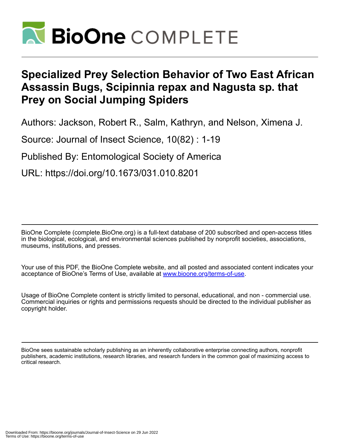

# **Specialized Prey Selection Behavior of Two East African Assassin Bugs, Scipinnia repax and Nagusta sp. that Prey on Social Jumping Spiders**

Authors: Jackson, Robert R., Salm, Kathryn, and Nelson, Ximena J.

Source: Journal of Insect Science, 10(82) : 1-19

Published By: Entomological Society of America

URL: https://doi.org/10.1673/031.010.8201

BioOne Complete (complete.BioOne.org) is a full-text database of 200 subscribed and open-access titles in the biological, ecological, and environmental sciences published by nonprofit societies, associations, museums, institutions, and presses.

Your use of this PDF, the BioOne Complete website, and all posted and associated content indicates your acceptance of BioOne's Terms of Use, available at www.bioone.org/terms-of-use.

Usage of BioOne Complete content is strictly limited to personal, educational, and non - commercial use. Commercial inquiries or rights and permissions requests should be directed to the individual publisher as copyright holder.

BioOne sees sustainable scholarly publishing as an inherently collaborative enterprise connecting authors, nonprofit publishers, academic institutions, research libraries, and research funders in the common goal of maximizing access to critical research.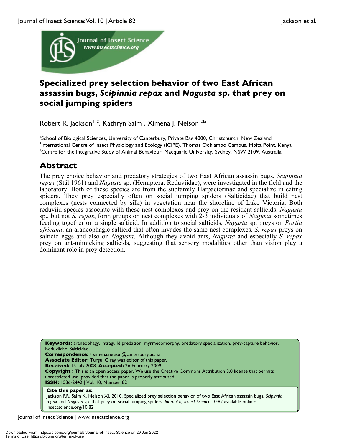

## **Specialized prey selection behavior of two East African assassin bugs,** *Scipinnia repax* **and** *Nagusta* **sp. that prey on social jumping spiders**

Robert R. Jackson<sup>1, 2</sup>, Kathryn Salm<sup>1</sup>, Ximena J. Nelson<sup>1,3a</sup>

<sup>1</sup>School of Biological Sciences, University of Canterbury, Private Bag 4800, Christchurch, New Zealand <sup>2</sup>International Centre of Insect Physiology and Ecology (ICIPE), Thomas Odhiambo Campus, Mbita Point, Kenya <sup>3</sup>Centre for the Integrative Study of Animal Behaviour, Macquarie University, Sydney, NSW 2109, Australia

## **Abstract**

The prey choice behavior and predatory strategies of two East African assassin bugs, *Scipinnia repax* (Stäl 1961) and *Nagusta* sp. (Hemiptera: Reduviidae), were investigated in the field and the laboratory. Both of these species are from the subfamily Harpactorinae and specialize in eating spiders. They prey especially often on social jumping spiders (Salticidae) that build nest complexes (nests connected by silk) in vegetation near the shoreline of Lake Victoria. Both reduviid species associate with these nest complexes and prey on the resident salticids. *Nagusta* sp., but not *S. repax*, form groups on nest complexes with 2-3 individuals of *Nagusta* sometimes feeding together on a single salticid. In addition to social salticids, *Nagusta* sp. preys on *Portia africana*, an araneophagic salticid that often invades the same nest complexes. *S. repax* preys on salticid eggs and also on *Nagusta*. Although they avoid ants, *Nagusta* and especially *S. repax* prey on ant-mimicking salticids, suggesting that sensory modalities other than vision play a dominant role in prey detection.

**Keywords:** araneophagy, intraguild predation, myrmecomorphy, predatory specialization, prey-capture behavior, Reduviidae, Salticidae **Correspondence:** <sup>a</sup> ximena.nelson@canterbury.ac.nz **Associate Editor:** Turgul Giray was editor of this paper. **Received:** 15 July 2008, **Accepted:** 26 February 2009 **Copyright :** This is an open access paper. We use the Creative Commons Attribution 3.0 license that permits unrestricted use, provided that the paper is properly attributed. **ISSN:** 1536-2442 | Vol. 10, Number 82 **Cite this paper as:** Jackson RR, Salm K, Nelson XJ. 2010. Specialized prey selection behavior of two East African assassin bugs, *Scipinnia repax* and *Nagusta* sp. that prey on social jumping spiders*. Journal of Insect Science* 10:82 available online:

Journal of Insect Science | www.insectscience.org 1

insectscience.org/10.82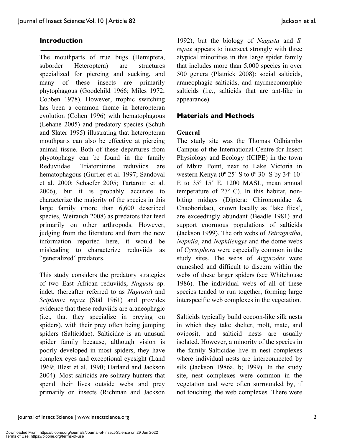### **Introduction**

The mouthparts of true bugs (Hemiptera, suborder Heteroptera) are structures specialized for piercing and sucking, and many of these insects are primarily phytophagous (Goodchild 1966; Miles 1972; Cobben 1978). However, trophic switching has been a common theme in heteropteran evolution (Cohen 1996) with hematophagous (Lehane 2005) and predatory species (Schuh and Slater 1995) illustrating that heteropteran mouthparts can also be effective at piercing animal tissue. Both of these departures from phyotophagy can be found in the family Reduviidae. Triatominine reduviids are hematophagous (Gurtler et al. 1997; Sandoval et al. 2000; Schaefer 2005; Tartarotti et al. 2006), but it is probably accurate to characterize the majority of the species in this large family (more than 6,600 described species, Weirauch 2008) as predators that feed primarily on other arthropods. However, judging from the literature and from the new information reported here, it would be misleading to characterize reduviids as "generalized" predators.

This study considers the predatory strategies of two East African reduviids, *Nagusta* sp. indet. (hereafter referred to as *Nagusta*) and *Scipinnia repax* (Stäl 1961) and provides evidence that these reduviids are araneophagic (i.e., that they specialize in preying on spiders), with their prey often being jumping spiders (Salticidae). Salticidae is an unusual spider family because, although vision is poorly developed in most spiders, they have complex eyes and exceptional eyesight (Land 1969; Blest et al. 1990; Harland and Jackson 2004). Most salticids are solitary hunters that spend their lives outside webs and prey primarily on insects (Richman and Jackson

1992), but the biology of *Nagusta* and *S. repax* appears to intersect strongly with three atypical minorities in this large spider family that includes more than 5,000 species in over 500 genera (Platnick 2008): social salticids, araneophagic salticids, and myrmecomorphic salticids (i.e., salticids that are ant-like in appearance).

### **Materials and Methods**

### **General**

The study site was the Thomas Odhiambo Campus of the International Centre for Insect Physiology and Ecology (ICIPE) in the town of Mbita Point, next to Lake Victoria in western Kenya (0º 25´ S to 0º 30´ S by 34º 10´ E to  $35^{\circ}$  15<sup>'</sup> E, 1200 MASL, mean annual temperature of 27º C). In this habitat, nonbiting midges (Diptera: Chironomidae & Chaoboridae), known locally as 'lake flies', are exceedingly abundant (Beadle 1981) and support enormous populations of salticids (Jackson 1999). The orb webs of *Tetragnatha*, *Nephila*, and *Nephilengys* and the dome webs of *Cyrtophora* were especially common in the study sites. The webs of *Argyrodes* were enmeshed and difficult to discern within the webs of these larger spiders (see Whitehouse 1986). The individual webs of all of these species tended to run together, forming large interspecific web complexes in the vegetation.

Salticids typically build cocoon-like silk nests in which they take shelter, molt, mate, and oviposit, and salticid nests are usually isolated. However, a minority of the species in the family Salticidae live in nest complexes where individual nests are interconnected by silk (Jackson 1986a, b; 1999). In the study site, nest complexes were common in the vegetation and were often surrounded by, if not touching, the web complexes. There were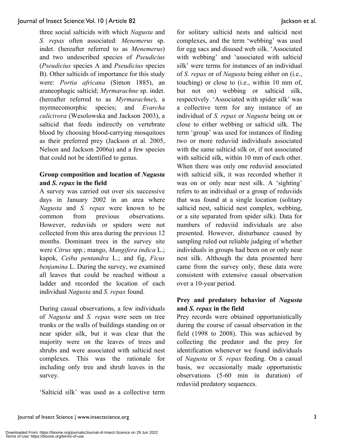three social salticids with which *Nagusta* and *S. repax* often associated: *Menemerus* sp. indet. (hereafter referred to as *Menemerus*) and two undescribed species of *Pseudicius* (*Pseudicius* species A and *Pseudicius* species B). Other salticids of importance for this study were: *Portia africana* (Simon 1885), an araneophagic salticid; *Myrmarachne* sp. indet. (hereafter referred to as *Myrmarachne*), a myrmecomorphic species; and *Evarcha culicivora* (Wesolowska and Jackson 2003), a salticid that feeds indirectly on vertebrate blood by choosing blood-carrying mosquitoes as their preferred prey (Jackson et al. 2005, Nelson and Jackson 2006a) and a few species that could not be identified to genus.

### **Group composition and location of** *Nagusta* **and** *S. repax* **in the field**

A survey was carried out over six successive days in January 2002 in an area where *Nagusta* and *S. repax* were known to be common from previous observations. However, reduviids or spiders were not collected from this area during the previous 12 months. Dominant trees in the survey site were *Citrus* spp.; mango, *Mangifera indica* L.; kapok, *Ceiba pentandra* L.; and fig, *Ficus benjamina* L. During the survey, we examined all leaves that could be reached without a ladder and recorded the location of each individual *Nagusta* and *S. repax* found.

During casual observations, a few individuals of *Nagusta* and *S. repax* were seen on tree trunks or the walls of buildings standing on or near spider silk, but it was clear that the majority were on the leaves of trees and shrubs and were associated with salticid nest complexes. This was the rationale for including only tree and shrub leaves in the survey.

'Salticid silk' was used as a collective term

for solitary salticid nests and salticid nest complexes, and the term 'webbing' was used for egg sacs and disused web silk. 'Associated with webbing' and 'associated with salticid silk' were terms for instances of an individual of *S. repax* or of *Nagusta* being either on (i.e., touching) or close to (i.e., within 10 mm of, but not on) webbing or salticid silk, respectively. 'Associated with spider silk' was a collective term for any instance of an individual of *S. repax* or *Nagusta* being on or close to either webbing or salticid silk. The term 'group' was used for instances of finding two or more reduviid individuals associated with the same salticid silk or, if not associated with salticid silk, within 10 mm of each other. When there was only one reduviid associated with salticid silk, it was recorded whether it was on or only near nest silk. A 'sighting' refers to an individual or a group of reduviids that was found at a single location (solitary salticid nest, salticid nest complex, webbing, or a site separated from spider silk). Data for numbers of reduviid individuals are also presented. However, disturbance caused by sampling ruled out reliable judging of whether individuals in groups had been on or only near nest silk. Although the data presented here came from the survey only, these data were consistent with extensive casual observation over a 10-year period.

### **Prey and predatory behavior of** *Nagusta* **and** *S. repax* **in the field**

Prey records were obtained opportunistically during the course of casual observation in the field (1998 to 2008). This was achieved by collecting the predator and the prey for identification whenever we found individuals of *Nagusta* or *S. repax* feeding. On a casual basis, we occasionally made opportunistic observations (5-60 min in duration) of reduviid predatory sequences.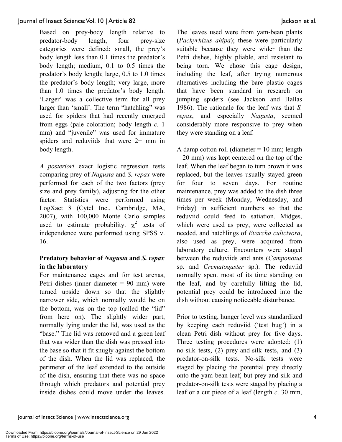Based on prey-body length relative to predator-body length, four prey-size categories were defined: small, the prey's body length less than 0.1 times the predator's body length; medium, 0.1 to 0.5 times the predator's body length; large, 0.5 to 1.0 times the predator's body length; very large, more than 1.0 times the predator's body length. 'Larger' was a collective term for all prey larger than 'small'. The term "hatchling" was used for spiders that had recently emerged from eggs (pale coloration; body length *c.* 1 mm) and "juvenile" was used for immature spiders and reduviids that were 2+ mm in body length.

*A posteriori* exact logistic regression tests comparing prey of *Nagusta* and *S. repax* were performed for each of the two factors (prey size and prey family), adjusting for the other factor. Statistics were performed using LogXact 8 (Cytel Inc., Cambridge, MA, 2007), with 100,000 Monte Carlo samples used to estimate probability.  $\chi^2$  tests of independence were performed using SPSS v. 16.

### **Predatory behavior of** *Nagusta* **and** *S. repax* **in the laboratory**

For maintenance cages and for test arenas, Petri dishes (inner diameter = 90 mm) were turned upside down so that the slightly narrower side, which normally would be on the bottom, was on the top (called the "lid" from here on). The slightly wider part, normally lying under the lid, was used as the "base." The lid was removed and a green leaf that was wider than the dish was pressed into the base so that it fit snugly against the bottom of the dish. When the lid was replaced, the perimeter of the leaf extended to the outside of the dish, ensuring that there was no space through which predators and potential prey inside dishes could move under the leaves. The leaves used were from yam-bean plants (*Pachyrhizus ahipa*); these were particularly suitable because they were wider than the Petri dishes, highly pliable, and resistant to being torn. We chose this cage design, including the leaf, after trying numerous alternatives including the bare plastic cages that have been standard in research on jumping spiders (see Jackson and Hallas 1986). The rationale for the leaf was that *S. repax*, and especially *Nagusta*, seemed considerably more responsive to prey when they were standing on a leaf.

A damp cotton roll (diameter  $= 10$  mm; length  $= 20$  mm) was kept centered on the top of the leaf. When the leaf began to turn brown it was replaced, but the leaves usually stayed green for four to seven days. For routine maintenance, prey was added to the dish three times per week (Monday, Wednesday, and Friday) in sufficient numbers so that the reduviid could feed to satiation. Midges, which were used as prey, were collected as needed, and hatchlings of *Evarcha culicivora*, also used as prey, were acquired from laboratory culture. Encounters were staged between the reduviids and ants (*Camponotus* sp. and *Crematogaster* sp.). The reduviid normally spent most of its time standing on the leaf, and by carefully lifting the lid, potential prey could be introduced into the dish without causing noticeable disturbance.

Prior to testing, hunger level was standardized by keeping each reduviid ('test bug') in a clean Petri dish without prey for five days. Three testing procedures were adopted: (1) no-silk tests, (2) prey-and-silk tests, and (3) predator-on-silk tests. No-silk tests were staged by placing the potential prey directly onto the yam-bean leaf, but prey-and-silk and predator-on-silk tests were staged by placing a leaf or a cut piece of a leaf (length *c*. 30 mm,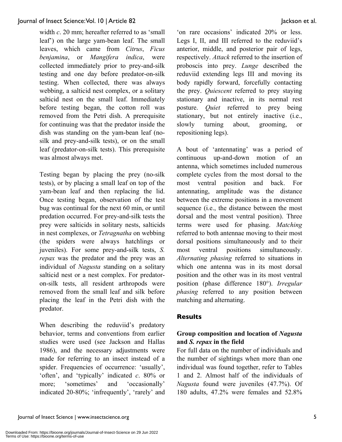width *c*. 20 mm; hereafter referred to as 'small leaf') on the large yam-bean leaf. The small leaves, which came from *Citrus*, *Ficus benjamina*, or *Mangifera indica*, were collected immediately prior to prey-and-silk testing and one day before predator-on-silk testing. When collected, there was always webbing, a salticid nest complex, or a solitary salticid nest on the small leaf. Immediately before testing began, the cotton roll was removed from the Petri dish. A prerequisite for continuing was that the predator inside the dish was standing on the yam-bean leaf (nosilk and prey-and-silk tests), or on the small leaf (predator-on-silk tests). This prerequisite was almost always met.

Testing began by placing the prey (no-silk tests), or by placing a small leaf on top of the yam-bean leaf and then replacing the lid. Once testing began, observation of the test bug was continual for the next 60 min, or until predation occurred. For prey-and-silk tests the prey were salticids in solitary nests, salticids in nest complexes, or *Tetragnatha* on webbing (the spiders were always hatchlings or juveniles). For some prey-and-silk tests, *S. repax* was the predator and the prey was an individual of *Nagusta* standing on a solitary salticid nest or a nest complex. For predatoron-silk tests, all resident arthropods were removed from the small leaf and silk before placing the leaf in the Petri dish with the predator.

When describing the reduviid's predatory behavior, terms and conventions from earlier studies were used (see Jackson and Hallas 1986), and the necessary adjustments were made for referring to an insect instead of a spider. Frequencies of occurrence: 'usually', 'often', and 'typically' indicated *c*. 80% or more; 'sometimes' and 'occasionally' indicated 20-80%; 'infrequently', 'rarely' and

'on rare occasions' indicated 20% or less. Legs I, II, and III referred to the reduviid's anterior, middle, and posterior pair of legs, respectively. *Attack* referred to the insertion of proboscis into prey. *Lunge* described the reduviid extending legs III and moving its body rapidly forward, forcefully contacting the prey. *Quiescent* referred to prey staying stationary and inactive, in its normal rest posture. *Quiet* referred to prey being stationary, but not entirely inactive (i.e., slowly turning about, grooming, or repositioning legs).

A bout of 'antennating' was a period of continuous up-and-down motion of an antenna, which sometimes included numerous complete cycles from the most dorsal to the most ventral position and back. For antennating, amplitude was the distance between the extreme positions in a movement sequence (i.e., the distance between the most dorsal and the most ventral position). Three terms were used for phasing. *Matching* referred to both antennae moving to their most dorsal positions simultaneously and to their most ventral positions simultaneously. *Alternating phasing* referred to situations in which one antenna was in its most dorsal position and the other was in its most ventral position (phase difference 180°). *Irregular phasing* referred to any position between matching and alternating.

### **Results**

### **Group composition and location of** *Nagusta* **and** *S. repax* **in the field**

For full data on the number of individuals and the number of sightings when more than one individual was found together, refer to Tables 1 and 2. Almost half of the individuals of *Nagusta* found were juveniles (47.7%). Of 180 adults, 47.2% were females and 52.8%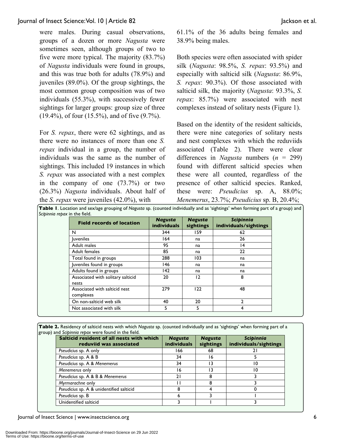were males. During casual observations, groups of a dozen or more *Nagusta* were sometimes seen, although groups of two to five were more typical. The majority (83.7%) of *Nagusta* individuals were found in groups, and this was true both for adults (78.9%) and juveniles (89.0%). Of the group sightings, the most common group composition was of two individuals (55.3%), with successively fewer sightings for larger groups: group size of three (19.4%), of four (15.5%), and of five (9.7%).

For *S. repax*, there were 62 sightings, and as there were no instances of more than one *S. repax* individual in a group, the number of individuals was the same as the number of sightings. This included 19 instances in which *S. repax* was associated with a nest complex in the company of one (73.7%) or two (26.3%) *Nagusta* individuals. About half of the *S. repax* were juveniles (42.0%), with

61.1% of the 36 adults being females and 38.9% being males.

Both species were often associated with spider silk (*Nagusta*: 98.5%, *S. repax*: 93.5%) and especially with salticid silk (*Nagusta*: 86.9%, *S. repax*: 90.3%). Of those associated with salticid silk, the majority (*Nagusta*: 93.3%, *S. repax*: 85.7%) were associated with nest complexes instead of solitary nests (Figure 1).

Based on the identity of the resident salticids, there were nine categories of solitary nests and nest complexes with which the reduviids associated (Table 2). There were clear differences in *Nagusta* numbers (*n* = 299) found with different salticid species when these were all counted, regardless of the presence of other salticid species. Ranked, these were: *Pseudicius* sp. A, 88.0%; *Menemerus*, 23.7%; *Pseudicius* sp. B, 20.4%; **Table 1**. Location and sex/age grouping of *Nagusta* sp. (counted individually and as 'sightings' when forming part of a group) and

| <b>Field records of location</b>           | <b>Nagusta</b><br><b>individuals</b> | <b>Nagusta</b><br>sightings | <b>Scipinnia</b><br>individuals/sightings |
|--------------------------------------------|--------------------------------------|-----------------------------|-------------------------------------------|
| N                                          | 344                                  | 159.                        | 62                                        |
| <b>luveniles</b>                           | 164                                  | na                          | 26                                        |
| Adult males                                | 95                                   | na                          | 14                                        |
| Adult females                              | 85                                   | na                          | 22                                        |
| Total found in groups                      | 288                                  | 103                         | na                                        |
| Juveniles found in groups                  | 146                                  | na                          | na                                        |
| Adults found in groups                     | 142                                  | na                          | na                                        |
| Associated with solitary salticid<br>nests | 20                                   | 12                          | 8                                         |
| Associated with salticid nest<br>complexes | 279                                  | 122                         | 48                                        |
| On non-salticid web silk                   | 40                                   | 20                          | 2                                         |
| Not associated with silk                   | 5                                    | 5                           | 4                                         |

**Table 2.** Residency of salticid nests with which *Nagusta* sp. (counted individually and as 'sightings' when forming part of a group) and *Scipinnia repax* were found in the field.

| Salticid resident of all nests with which<br>reduviid was associated | <b>Nagusta</b><br><b>individuals</b> | <b>Nagusta</b><br>sightings | <b>Scipinnia</b><br>individuals/sightings |
|----------------------------------------------------------------------|--------------------------------------|-----------------------------|-------------------------------------------|
| Pseudicius sp. A only                                                | 166                                  | 68                          | 21                                        |
| Pseudicius sp. A & B                                                 | 34                                   | 16                          |                                           |
| Pseudicius sp. A & Menemerus                                         | 34                                   |                             | 10                                        |
| Menemerus only                                                       | 16                                   |                             | 10                                        |
| Pseudicius sp. A & B & Menemerus                                     | 21                                   |                             |                                           |
| Myrmarachne only                                                     |                                      | 8                           |                                           |
| Pseudicius sp. A & unidentified salticid                             |                                      |                             |                                           |
| Pseudicius sp. B                                                     | h                                    |                             |                                           |
| Unidentified salticid                                                |                                      |                             |                                           |

Journal of Insect Science | www.insectscience.org 6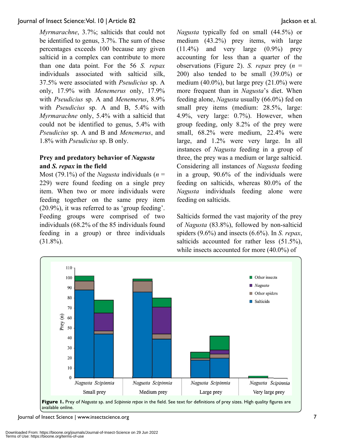*Myrmarachne*, 3.7%; salticids that could not be identified to genus, 3.7%. The sum of these percentages exceeds 100 because any given salticid in a complex can contribute to more than one data point. For the 56 *S. repax* individuals associated with salticid silk, 37.5% were associated with *Pseudicius* sp. A only, 17.9% with *Menemerus* only, 17.9% with *Pseudicius* sp. A and *Menemerus*, 8.9% with *Pseudicius* sp. A and B, 5.4% with *Myrmarachne* only, 5.4% with a salticid that could not be identified to genus, 5.4% with *Pseudicius* sp. A and B and *Menemerus*, and 1.8% with *Pseudicius* sp. B only.

### **Prey and predatory behavior of** *Nagusta* **and** *S. repax* **in the field**

Most (79.1%) of the *Nagusta* individuals ( $n =$ 229) were found feeding on a single prey item. When two or more individuals were feeding together on the same prey item (20.9%), it was referred to as 'group feeding'. Feeding groups were comprised of two individuals (68.2% of the 85 individuals found feeding in a group) or three individuals  $(31.8\%)$ .

*Nagusta* typically fed on small (44.5%) or medium (43.2%) prey items, with large (11.4%) and very large (0.9%) prey accounting for less than a quarter of the observations (Figure 2). *S. repax* prey (*n* = 200) also tended to be small (39.0%) or medium  $(40.0\%)$ , but large prey  $(21.0\%)$  were more frequent than in *Nagusta*'s diet. When feeding alone, *Nagusta* usually (66.0%) fed on small prey items (medium: 28.5%, large: 4.9%, very large: 0.7%). However, when group feeding, only 8.2% of the prey were small, 68.2% were medium, 22.4% were large, and 1.2% were very large. In all instances of *Nagusta* feeding in a group of three, the prey was a medium or large salticid. Considering all instances of *Nagusta* feeding in a group, 90.6% of the individuals were feeding on salticids, whereas 80.0% of the *Nagusta* individuals feeding alone were feeding on salticids.

Salticids formed the vast majority of the prey of *Nagusta* (83.8%), followed by non-salticid spiders (9.6%) and insects (6.6%). In *S. repax*, salticids accounted for rather less (51.5%), while insects accounted for more  $(40.0\%)$  of



Journal of Insect Science | www.insectscience.org 7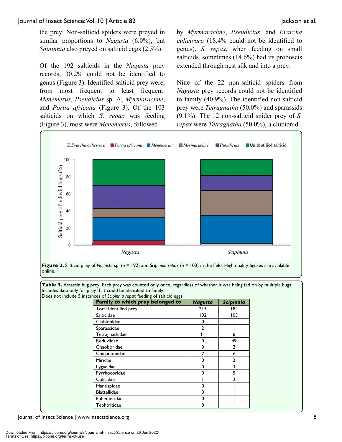the prey. Non-salticid spiders were preyed in similar proportions to *Nagusta* (6.0%), but *Spininnia* also preyed on salticid eggs (2.5%).

Of the 192 salticids in the *Nagusta* prey records, 30.2% could not be identified to genus (Figure 3). Identified salticid prey were, from most frequent to least frequent: *Menemerus*, *Pseudicius* sp. A, *Myrmarachne*, and *Portia africana* (Figure 3). Of the 103 salticids on which *S. repax* was feeding (Figure 3), most were *Menemerus*, followed

by *Myrmarachne*, *Pseudicius*, and *Evarcha culicivora* (18.4% could not be identified to genus). *S. repax*, when feeding on small salticids, sometimes (14.6%) had its proboscis extended through nest silk and into a prey.

Nine of the 22 non-salticid spiders from *Nagusta* prey records could not be identified to family (40.9%). The identified non-salticid prey were *Tetragnatha* (50.0%) and sparassids (9.1%). The 12 non-salticid spider prey of *S. repax* were *Tetragnatha* (50.0%), a clubionid



online.

**Table 3.** Assassin bug prey. Each prey was counted only once, regardless of whether it was being fed on by multiple bugs. Includes data only for prey that could be identified to family.

| Does not include 5 instances of Scipinnia repax feeding of salticid eggs. |                |                  |  |  |  |  |
|---------------------------------------------------------------------------|----------------|------------------|--|--|--|--|
| Family to which prey belonged to                                          | <b>Nagusta</b> | <b>Scipinnia</b> |  |  |  |  |
| Total identified prey                                                     | 213            | 184              |  |  |  |  |
| Salticidae                                                                | 192            | 103              |  |  |  |  |
| Clubionidae                                                               | $\Omega$       |                  |  |  |  |  |
| Sparassidae                                                               | $\mathbf{2}$   |                  |  |  |  |  |
| Tetragnathidae                                                            |                | 6                |  |  |  |  |
| Reduviidae                                                                | $\Omega$       | 49               |  |  |  |  |
| Chaoboridae                                                               | $\Omega$       | $\overline{2}$   |  |  |  |  |
| Chironomidae                                                              |                | 6                |  |  |  |  |
| Miridae                                                                   | $\Omega$       | $\mathbf{2}$     |  |  |  |  |
| Lygaeidae                                                                 | $\Omega$       | 3                |  |  |  |  |
| Pyrrhocoridae                                                             | $\Omega$       | 5                |  |  |  |  |
| Culicidae                                                                 |                | $\mathbf{2}$     |  |  |  |  |
| Mantispidae                                                               | $\Omega$       |                  |  |  |  |  |
| <b>Blattellidae</b>                                                       | $\Omega$       |                  |  |  |  |  |
| Ephemeridae                                                               | $\Omega$       |                  |  |  |  |  |
| Tephtritidae                                                              | 0              |                  |  |  |  |  |

Journal of Insect Science | www.insectscience.org 8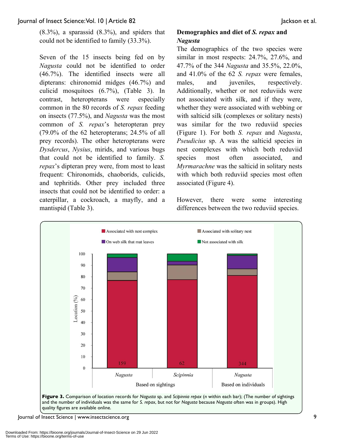$(8.3\%)$ , a sparassid  $(8.3\%)$ , and spiders that could not be identified to family (33.3%).

Seven of the 15 insects being fed on by *Nagusta* could not be identified to order (46.7%). The identified insects were all dipterans: chironomid midges (46.7%) and culicid mosquitoes (6.7%), (Table 3). In contrast, heteropterans were especially common in the 80 records of *S. repax* feeding on insects (77.5%), and *Nagusta* was the most common of *S. repax*'s heteropteran prey (79.0% of the 62 heteropterans; 24.5% of all prey records). The other heteropterans were *Dysdercus*, *Nysius*, mirids, and various bugs that could not be identified to family. *S. repax*'s dipteran prey were, from most to least frequent: Chironomids, chaoborids, culicids, and tephritids. Other prey included three insects that could not be identified to order: a caterpillar, a cockroach, a mayfly, and a mantispid (Table 3).

### **Demographics and diet of** *S. repax* **and**  *Nagusta*

The demographics of the two species were similar in most respects: 24.7%, 27.6%, and 47.7% of the 344 *Nagusta* and 35.5%, 22.0%, and 41.0% of the 62 *S. repax* were females, males, and juveniles, respectively. Additionally, whether or not reduviids were not associated with silk, and if they were, whether they were associated with webbing or with salticid silk (complexes or solitary nests) was similar for the two reduviid species (Figure 1). For both *S. repax* and *Nagusta*, *Pseudicius* sp. A was the salticid species in nest complexes with which both reduviid species most often associated, and *Myrmarachne* was the salticid in solitary nests with which both reduviid species most often associated (Figure 4).

However, there were some interesting differences between the two reduviid species.



Journal of Insect Science | www.insectscience.org 9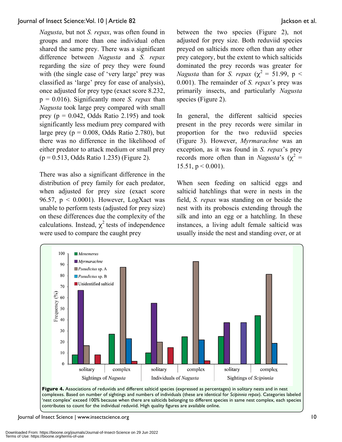*Nagusta*, but not *S. repax*, was often found in groups and more than one individual often shared the same prey. There was a significant difference between *Nagusta* and *S. repax* regarding the size of prey they were found with (the single case of 'very large' prey was classified as 'large' prey for ease of analysis), once adjusted for prey type (exact score 8.232, p = 0.016). Significantly more *S. repax* than *Nagusta* took large prey compared with small prey ( $p = 0.042$ , Odds Ratio 2.195) and took significantly less medium prey compared with large prey ( $p = 0.008$ , Odds Ratio 2.780), but there was no difference in the likelihood of either predator to attack medium or small prey  $(p = 0.513, Odds Ratio 1.235)$  (Figure 2).

There was also a significant difference in the distribution of prey family for each predator, when adjusted for prey size (exact score 96.57,  $p < 0.0001$ ). However, LogXact was unable to perform tests (adjusted for prey size) on these differences due the complexity of the calculations. Instead,  $\chi^2$  tests of independence were used to compare the caught prey

between the two species (Figure 2), not adjusted for prey size. Both reduviid species preyed on salticids more often than any other prey category, but the extent to which salticids dominated the prey records was greater for *Nagusta* than for *S. repax* ( $\chi^2 = 51.99$ , p < 0.001). The remainder of *S. repax*'s prey was primarily insects, and particularly *Nagusta* species (Figure 2).

In general, the different salticid species present in the prey records were similar in proportion for the two reduviid species (Figure 3). However, *Myrmarachne* was an exception, as it was found in *S. repax*'s prey records more often than in *Nagusta*'s ( $\chi^2$  = 15.51,  $p < 0.001$ ).

When seen feeding on salticid eggs and salticid hatchlings that were in nests in the field, *S. repax* was standing on or beside the nest with its proboscis extending through the silk and into an egg or a hatchling. In these instances, a living adult female salticid was usually inside the nest and standing over, or at



**Figure 4.** Associations of reduviids and different salticid species (expressed as percentages) in solitary nests and in nest complexes. Based on number of sightings and numbers of individuals (these are identical for *Scipinnia repax*). Categories labeled 'nest complex' exceed 100% because when there are salticids belonging to different species in same nest complex, each species contributes to count for the individual reduviid. High quality figures are available online.

Journal of Insect Science | www.insectscience.org 10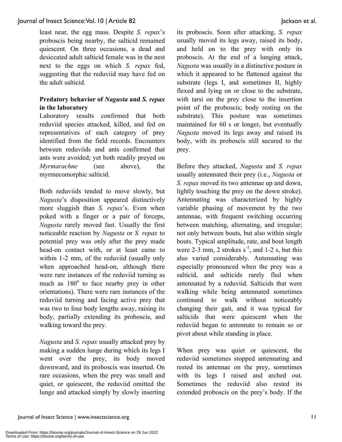least near, the egg mass. Despite *S. repax*'s proboscis being nearby, the salticid remained quiescent. On three occasions, a dead and desiccated adult salticid female was in the nest next to the eggs on which *S. repax* fed, suggesting that the reduviid may have fed on the adult salticid.

### **Predatory behavior of** *Nagusta* **and** *S. repax* **in the laboratory**

Laboratory results confirmed that both reduviid species attacked, killed, and fed on representatives of each category of prey identified from the field records. Encounters between reduviids and ants confirmed that ants were avoided; yet both readily preyed on *Myrmarachne* (see above), the myrmecomorphic salticid.

Both reduviids tended to move slowly, but *Nagusta*'s disposition appeared distinctively more sluggish than *S. repax*'s. Even when poked with a finger or a pair of forceps, *Nagusta* rarely moved fast. Usually the first noticeable reaction by *Nagusta* or *S. repax* to potential prey was only after the prey made head-on contact with, or at least came to within 1-2 mm, of the reduviid (usually only when approached head-on, although there were rare instances of the reduviid turning as much as  $180^\circ$  to face nearby prey in other orientations). There were rare instances of the reduviid turning and facing active prey that was two to four body lengths away, raising its body, partially extending its proboscis, and walking toward the prey.

*Nagusta* and *S. repax* usually attacked prey by making a sudden lunge during which its legs I went over the prey, its body moved downward, and its proboscis was inserted. On rare occasions, when the prey was small and quiet, or quiescent, the reduviid omitted the lunge and attacked simply by slowly inserting its proboscis. Soon after attacking, *S. repax* usually moved its legs away, raised its body, and held on to the prey with only its proboscis. At the end of a lunging attack, *Nagusta* was usually in a distinctive posture in which it appeared to be flattened against the substrate (legs I, and sometimes II, highly flexed and lying on or close to the substrate, with tarsi on the prey close to the insertion point of the proboscis; body resting on the substrate). This posture was sometimes maintained for 60 s or longer, but eventually *Nagusta* moved its legs away and raised its body, with its proboscis still secured to the prey.

Before they attacked, *Nagusta* and *S. repax*  usually antennated their prey (i.e., *Nagusta* or *S. repax* moved its two antennae up and down, lightly touching the prey on the down stroke). Antennating was characterized by highly variable phasing of movement by the two antennae, with frequent switching occurring between matching, alternating, and irregular; not only between bouts, but also within single bouts. Typical amplitude, rate, and bout length were  $2-3$  mm,  $2$  strokes  $s^{-1}$ , and  $1-2$  s, but this also varied considerably. Antennating was especially pronounced when the prey was a salticid, and salticids rarely fled when antennated by a reduviid. Salticids that were walking while being antennated sometimes continued to walk without noticeably changing their gait, and it was typical for salticids that were quiescent when the reduviid began to antennate to remain so or pivot about while standing in place.

When prey was quiet or quiescent, the reduviid sometimes stopped antennating and rested its antennae on the prey, sometimes with its legs I raised and arched out. Sometimes the reduviid also rested its extended proboscis on the prey's body. If the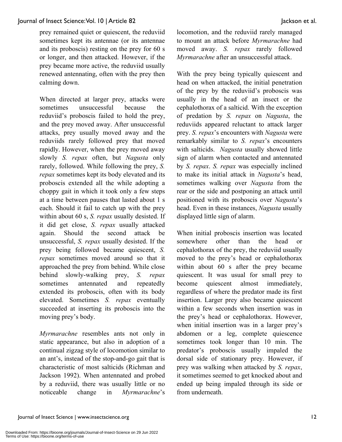prey remained quiet or quiescent, the reduviid sometimes kept its antennae (or its antennae and its proboscis) resting on the prey for 60 s or longer, and then attacked. However, if the prey became more active, the reduviid usually renewed antennating, often with the prey then calming down.

When directed at larger prey, attacks were sometimes unsuccessful because the reduviid's proboscis failed to hold the prey, and the prey moved away. After unsuccessful attacks, prey usually moved away and the reduviids rarely followed prey that moved rapidly. However, when the prey moved away slowly *S. repax* often, but *Nagusta* only rarely, followed. While following the prey, *S. repax* sometimes kept its body elevated and its proboscis extended all the while adopting a choppy gait in which it took only a few steps at a time between pauses that lasted about 1 s each. Should it fail to catch up with the prey within about 60 s, *S. repax* usually desisted. If it did get close, *S. repax* usually attacked again. Should the second attack be unsuccessful, *S. repax* usually desisted. If the prey being followed became quiescent, *S. repax* sometimes moved around so that it approached the prey from behind. While close behind slowly-walking prey, *S. repax* sometimes antennated and repeatedly extended its proboscis, often with its body elevated. Sometimes *S. repax* eventually succeeded at inserting its proboscis into the moving prey's body.

*Myrmarachne* resembles ants not only in static appearance, but also in adoption of a continual zigzag style of locomotion similar to an ant's, instead of the stop-and-go gait that is characteristic of most salticids (Richman and Jackson 1992). When antennated and probed by a reduviid, there was usually little or no noticeable change in *Myrmarachne*'s locomotion, and the reduviid rarely managed to mount an attack before *Myrmarachne* had moved away. *S. repax* rarely followed *Myrmarachne* after an unsuccessful attack.

With the prey being typically quiescent and head on when attacked, the initial penetration of the prey by the reduviid's proboscis was usually in the head of an insect or the cephalothorax of a salticid. With the exception of predation by *S. repax* on *Nagusta*, the reduviids appeared reluctant to attack larger prey. *S. repax*'s encounters with *Nagusta* were remarkably similar to *S. repax*'s encounters with salticids. *Nagusta* usually showed little sign of alarm when contacted and antennated by *S. repax*. *S. repax* was especially inclined to make its initial attack in *Nagusta*'s head, sometimes walking over *Nagusta* from the rear or the side and postponing an attack until positioned with its proboscis over *Nagusta*'s head. Even in these instances, *Nagusta* usually displayed little sign of alarm.

When initial proboscis insertion was located somewhere other than the head or cephalothorax of the prey, the reduviid usually moved to the prey's head or cephalothorax within about 60 s after the prey became quiescent. It was usual for small prey to become quiescent almost immediately, regardless of where the predator made its first insertion. Larger prey also became quiescent within a few seconds when insertion was in the prey's head or cephalothorax. However, when initial insertion was in a larger prey's abdomen or a leg, complete quiescence sometimes took longer than 10 min. The predator's proboscis usually impaled the dorsal side of stationary prey. However, if prey was walking when attacked by *S. repax*, it sometimes seemed to get knocked about and ended up being impaled through its side or from underneath.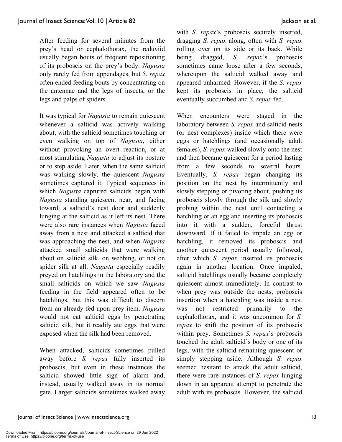After feeding for several minutes from the prey's head or cephalothorax, the reduviid usually began bouts of frequent repositioning of its proboscis on the prey's body. *Nagusta* only rarely fed from appendages, but *S. repax* often ended feeding bouts by concentrating on the antennae and the legs of insects, or the legs and palps of spiders.

It was typical for *Nagusta* to remain quiescent whenever a salticid was actively walking about, with the salticid sometimes touching or even walking on top of *Nagusta*, either without provoking an overt reaction, or at most stimulating *Nagusta* to adjust its posture or to step aside. Later, when the same salticid was walking slowly, the quiescent *Nagusta* sometimes captured it. Typical sequences in which *Nagusta* captured salticids began with *Nagusta* standing quiescent near, and facing toward, a salticid's nest door and suddenly lunging at the salticid as it left its nest. There were also rare instances when *Nagusta* faced away from a nest and attacked a salticid that was approaching the nest, and when *Nagusta* attacked small salticids that were walking about on salticid silk, on webbing, or not on spider silk at all. *Nagusta* especially readily preyed on hatchlings in the laboratory and the small salticids on which we saw *Nagusta* feeding in the field appeared often to be hatchlings, but this was difficult to discern from an already fed-upon prey item. *Nagusta* would not eat salticid eggs by penetrating salticid silk, but it readily ate eggs that were exposed when the silk had been removed.

When attacked, salticids sometimes pulled away before *S. repax* fully inserted its proboscis, but even in these instances the salticid showed little sign of alarm and, instead, usually walked away in its normal gate. Larger salticids sometimes walked away with *S. repax*'s proboscis securely inserted, dragging *S. repax* along, often with *S. repax* rolling over on its side or its back. While being dragged, *S. repax*'s proboscis sometimes came loose after a few seconds, whereupon the salticid walked away and appeared unharmed. However, if the *S. repax* kept its proboscis in place, the salticid eventually succumbed and *S. repax* fed.

When encounters were staged in the laboratory between *S. repax* and salticid nests (or nest complexes) inside which there were eggs or hatchlings (and occasionally adult females), *S. repax* walked slowly onto the nest and then became quiescent for a period lasting from a few seconds to several hours. Eventually, *S. repax* began changing its position on the nest by intermittently and slowly stepping or pivoting about, pushing its proboscis slowly through the silk and slowly probing within the nest until contacting a hatchling or an egg and inserting its proboscis into it with a sudden, forceful thrust downward. If it failed to impale an egg or hatchling, it removed its proboscis and another quiescent period usually followed, after which *S. repax* inserted its proboscis again in another location. Once impaled, salticid hatchlings usually became completely quiescent almost immediately. In contrast to when prey was outside the nests, proboscis insertion when a hatchling was inside a nest was not restricted primarily to the cephalothorax, and it was uncommon for *S. repax* to shift the position of its proboscis within prey. Sometimes *S. repax*'s proboscis touched the adult salticid's body or one of its legs, with the salticid remaining quiescent or simply stepping aside. Although *S. repax* seemed hesitant to attack the adult salticid, there were rare instances of *S. repax* lunging down in an apparent attempt to penetrate the adult with its proboscis. However, the salticid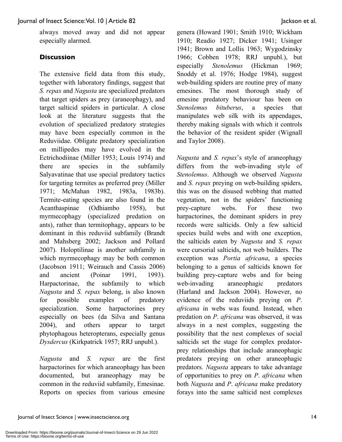always moved away and did not appear especially alarmed.

### **Discussion**

The extensive field data from this study, together with laboratory findings, suggest that *S. repax* and *Nagusta* are specialized predators that target spiders as prey (araneophagy), and target salticid spiders in particular. A close look at the literature suggests that the evolution of specialized predatory strategies may have been especially common in the Reduviidae. Obligate predatory specialization on millipedes may have evolved in the Ectrichodiinae (Miller 1953; Louis 1974) and there are species in the subfamily Salyavatinae that use special predatory tactics for targeting termites as preferred prey (Miller 1971; McMahan 1982, 1983a, 1983b). Termite-eating species are also found in the Acanthaspinae (Odhiambo 1958), but myrmecophagy (specialized predation on ants), rather than termitophagy, appears to be dominant in this reduviid subfamily (Brandt and Mahsberg 2002; Jackson and Pollard 2007). Holoptilinae is another subfamily in which myrmecophagy may be both common (Jacobson 1911; Weirauch and Cassis 2006) and ancient (Poinar 1991, 1993). Harpactorinae, the subfamily to which *Nagusta* and *S. repax* belong, is also known for possible examples of predatory specialization. Some harpactorines prey especially on bees (da Silva and Santana 2004), and others appear to target phytophagous heteropterans, especially genus *Dysdercus* (Kirkpatrick 1957; RRJ unpubl.).

*Nagusta* and *S. repax* are the first harpactorines for which araneophagy has been documented, but araneophagy may be common in the reduviid subfamily, Emesinae. Reports on species from various emesine genera (Howard 1901; Smith 1910; Wickham 1910; Readio 1927; Dicker 1941; Usinger 1941; Brown and Lollis 1963; Wygodzinsky 1966; Cobben 1978; RRJ unpubl.), but especially *Stenolemus* (Hickman 1969; Snoddy et al. 1976; Hodge 1984), suggest web-building spiders are routine prey of many emesines. The most thorough study of emesine predatory behaviour has been on *Stenolemus bituberus*, a species that manipulates web silk with its appendages, thereby making signals with which it controls the behavior of the resident spider (Wignall and Taylor 2008).

*Nagusta* and *S. repax*'s style of araneophagy differs from the web-invading style of *Stenolemus*. Although we observed *Nagusta* and *S. repax* preying on web-building spiders, this was on the disused webbing that matted vegetation, not in the spiders' functioning prey-capture webs. For these two harpactorines, the dominant spiders in prey records were salticids. Only a few salticid species build webs and with one exception, the salticids eaten by *Nagusta* and *S. repax* were cursorial salticids, not web builders. The exception was *Portia africana*, a species belonging to a genus of salticids known for building prey-capture webs and for being web-invading araneophagic predators (Harland and Jackson 2004). However, no evidence of the reduviids preying on *P*. *africana* in webs was found. Instead, when predation on *P*. *africana* was observed, it was always in a nest complex, suggesting the possibility that the nest complexes of social salticids set the stage for complex predatorprey relationships that include araneophagic predators preying on other araneophagic predators. *Nagusta* appears to take advantage of opportunities to prey on *P*. *africana* when both *Nagusta* and *P*. *africana* make predatory forays into the same salticid nest complexes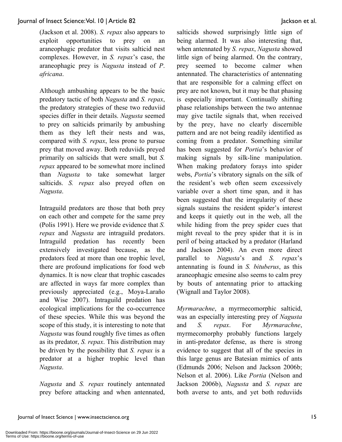(Jackson et al. 2008). *S. repax* also appears to exploit opportunities to prey on an araneophagic predator that visits salticid nest complexes. However, in *S. repax*'s case, the araneophagic prey is *Nagusta* instead of *P*. *africana*.

Although ambushing appears to be the basic predatory tactic of both *Nagusta* and *S. repax*, the predatory strategies of these two reduviid species differ in their details. *Nagusta* seemed to prey on salticids primarily by ambushing them as they left their nests and was, compared with *S. repax*, less prone to pursue prey that moved away. Both reduviids preyed primarily on salticids that were small, but *S. repax* appeared to be somewhat more inclined than *Nagusta* to take somewhat larger salticids. *S. repax* also preyed often on *Nagusta*.

Intraguild predators are those that both prey on each other and compete for the same prey (Polis 1991). Here we provide evidence that *S. repax* and *Nagusta* are intraguild predators. Intraguild predation has recently been extensively investigated because, as the predators feed at more than one trophic level, there are profound implications for food web dynamics. It is now clear that trophic cascades are affected in ways far more complex than previously appreciated (e.g., Moya-Laraño and Wise 2007). Intraguild predation has ecological implications for the co-occurrence of these species. While this was beyond the scope of this study, it is interesting to note that *Nagusta* was found roughly five times as often as its predator, *S. repax*. This distribution may be driven by the possibility that *S. repax* is a predator at a higher trophic level than *Nagusta*.

*Nagusta* and *S. repax* routinely antennated prey before attacking and when antennated, salticids showed surprisingly little sign of being alarmed. It was also interesting that, when antennated by *S. repax*, *Nagusta* showed little sign of being alarmed. On the contrary, prey seemed to become calmer when antennated. The characteristics of antennating that are responsible for a calming effect on prey are not known, but it may be that phasing is especially important. Continually shifting phase relationships between the two antennae may give tactile signals that, when received by the prey, have no clearly discernible pattern and are not being readily identified as coming from a predator. Something similar has been suggested for *Portia*'s behavior of making signals by silk-line manipulation. When making predatory forays into spider webs, *Portia*'s vibratory signals on the silk of the resident's web often seem excessively variable over a short time span, and it has been suggested that the irregularity of these signals sustains the resident spider's interest and keeps it quietly out in the web, all the while hiding from the prey spider cues that might reveal to the prey spider that it is in peril of being attacked by a predator (Harland and Jackson 2004). An even more direct parallel to *Nagusta*'s and *S. repax*'s antennating is found in *S. bituberus*, as this araneophagic emesine also seems to calm prey by bouts of antennating prior to attacking (Wignall and Taylor 2008).

*Myrmarachne*, a myrmecomorphic salticid, was an especially interesting prey of *Nagusta* and *S. repax*. For *Myrmarachne*, myrmecomorphy probably functions largely in anti-predator defense, as there is strong evidence to suggest that all of the species in this large genus are Batesian mimics of ants (Edmunds 2006; Nelson and Jackson 2006b; Nelson et al. 2006). Like *Portia* (Nelson and Jackson 2006b), *Nagusta* and *S. repax* are both averse to ants, and yet both reduviids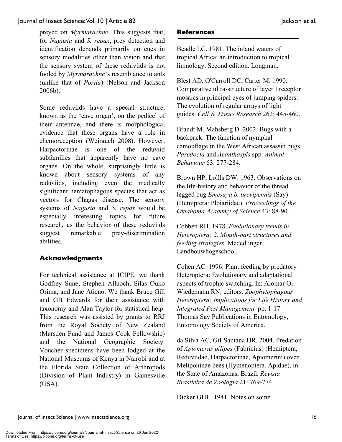preyed on *Myrmarachne*. This suggests that, for *Nagusta* and *S. repax*, prey detection and identification depends primarily on cues in sensory modalities other than vision and that the sensory system of these reduviids is not fooled by *Myrmarachne*'s resemblance to ants (unlike that of *Portia*) (Nelson and Jackson 2006b).

Some reduviids have a special structure, known as the 'cave organ', on the pedicel of their antennae, and there is morphological evidence that these organs have a role in chemoreception (Weirauch 2008). However, Harpactorinae is one of the reduviid subfamilies that apparently have no cave organs. On the whole, surprisingly little is known about sensory systems of any reduviids, including even the medically significant hematophagous species that act as vectors for Chagas disease. The sensory systems of *Nagusta* and *S. repax* would be especially interesting topics for future research, as the behavior of these reduviids suggest remarkable prey-discrimination abilities.

### **Acknowledgments**

For technical assistance at ICIPE, we thank Godfrey Sune, Stephen Alluoch, Silas Ouko Orima, and Jane Atieno. We thank Bruce Gill and GB Edwards for their assistance with taxonomy and Alan Taylor for statistical help. This research was assisted by grants to RRJ from the Royal Society of New Zealand (Marsden Fund and James Cook Fellowship) and the National Geographic Society. Voucher specimens have been lodged at the National Museums of Kenya in Nairobi and at the Florida State Collection of Arthropods (Division of Plant Industry) in Gainesville (USA).

### **References**

Beadle LC. 1981. The inland waters of tropical Africa: an introduction to tropical limnology. Second edition. Longman.

Blest AD, O'Carroll DC, Carter M. 1990. Comparative ultra-structure of layer I receptor mosaics in principal eyes of jumping spiders: The evolution of regular arrays of light guides. *Cell & Tissue Research* 262: 445-460.

Brandt M, Mahsberg D. 2002. Bugs with a backpack: The function of nymphal camouflage in the West African assassin bugs *Paredocla* and *Acanthaspis* spp. *Animal Behaviour* 63: 277-284.

Brown HP, Lollls DW. 1963. Observations on the life-history and behavior of the thread legged bug *Emesaya b. brevipennis* (Say) (Hemiptera: Ploiariidae). *Proceedings of the Oklahoma Academy of Science* 43: 88-90.

Cobben RH. 1978. *Evolutionary trends in Heteroptera: 2. Mouth-part structures and feeding strategies.* Mededlingen Landbouwhogeschool.

Cohen AC. 1996. Plant feeding by predatory Heteroptera: Evolutionary and adaptational aspects of trophic switching. In: Alomar O, Wiedemann RN, editors. *Zoophytophagous Heteroptera: Implications for Life History and Integrated Pest Management.* pp. 1-17. Thomas Say Publications in Entomology, Entomology Society of America.

da Silva AC, Gil-Santana HR. 2004. Predation of *Apiomerus pilipes* (Fabricius) (Hemiptera, Reduviidae, Harpactorinae, Apiomerini) over Meliponinae bees (Hymenoptera, Apidae), in the State of Amazonas, Brazil. *Revista Brasileira de Zoologia* 21: 769-774.

Dicker GHL. 1941. Notes on some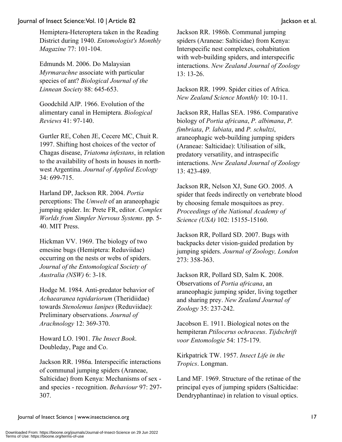Hemiptera-Heteroptera taken in the Reading District during 1940. *Entomologist's Monthly Magazine* 77: 101-104.

Edmunds M. 2006. Do Malaysian *Myrmarachne* associate with particular species of ant? *Biological Journal of the Linnean Society* 88: 645-653.

Goodchild AJP. 1966. Evolution of the alimentary canal in Hemiptera. *Biological Reviews* 41: 97-140.

Gurtler RE, Cohen JE, Cecere MC, Chuit R. 1997. Shifting host choices of the vector of Chagas disease, *Triatoma infestans*, in relation to the availability of hosts in houses in northwest Argentina. *Journal of Applied Ecology*  34: 699-715.

Harland DP, Jackson RR. 2004. *Portia* perceptions: The *Umwelt* of an araneophagic jumping spider. In: Prete FR, editor. *Complex Worlds from Simpler Nervous Systems*. pp. 5- 40. MIT Press.

Hickman VV. 1969. The biology of two emesine bugs (Hemiptera: Reduviidae) occurring on the nests or webs of spiders. *Journal of the Entomological Society of Australia (NSW)* 6: 3-18.

Hodge M. 1984. Anti-predator behavior of *Achaearanea tepidariorum* (Theridiidae) towards *Stenolemus lanipes* (Reduviidae): Preliminary observations. *Journal of Arachnology* 12: 369-370.

Howard LO. 1901. *The Insect Book*. Doubleday, Page and Co.

Jackson RR. 1986a. Interspecific interactions of communal jumping spiders (Araneae, Salticidae) from Kenya: Mechanisms of sex and species - recognition. *Behaviour* 97: 297- 307.

Jackson RR. 1986b. Communal jumping spiders (Araneae: Salticidae) from Kenya: Interspecific nest complexes, cohabitation with web-building spiders, and interspecific interactions. *New Zealand Journal of Zoology* 13: 13-26.

Jackson RR. 1999. Spider cities of Africa. *New Zealand Science Monthly* 10: 10-11.

Jackson RR, Hallas SEA. 1986. Comparative biology of *Portia africana*, *P. albimana*, *P. fimbriata*, *P. labiata*, and *P. schultzi*, araneophagic web-building jumping spiders (Araneae: Salticidae): Utilisation of silk, predatory versatility, and intraspecific interactions. *New Zealand Journal of Zoology* 13: 423-489.

Jackson RR, Nelson XJ, Sune GO. 2005. A spider that feeds indirectly on vertebrate blood by choosing female mosquitoes as prey. *Proceedings of the National Academy of Science (USA)* 102: 15155-15160.

Jackson RR, Pollard SD. 2007. Bugs with backpacks deter vision-guided predation by jumping spiders. *Journal of Zoology, London* 273: 358-363.

Jackson RR, Pollard SD, Salm K. 2008. Observations of *Portia africana*, an araneophagic jumping spider, living together and sharing prey. *New Zealand Journal of Zoology* 35: 237-242.

Jacobson E. 1911. Biological notes on the hempiteran *Ptilocerus ochraceus*. *Tijdschrift voor Entomologie* 54: 175-179.

Kirkpatrick TW. 1957. *Insect Life in the Tropics*. Longman.

Land MF. 1969. Structure of the retinae of the principal eyes of jumping spiders (Salticidae: Dendryphantinae) in relation to visual optics.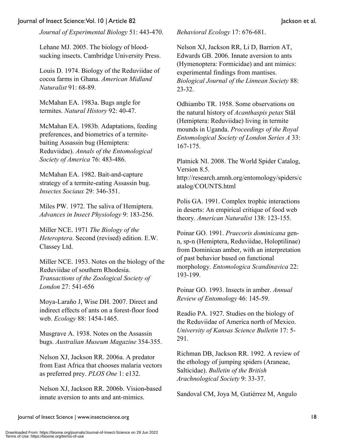*Journal of Experimental Biology* 51: 443-470.

Lehane MJ. 2005. The biology of bloodsucking insects. Cambridge University Press.

Louis D. 1974. Biology of the Reduviidae of cocoa farms in Ghana. *American Midland Naturalist* 91: 68-89.

McMahan EA. 1983a. Bugs angle for termites. *Natural History* 92: 40-47.

McMahan EA. 1983b. Adaptations, feeding preferences, and biometrics of a termitebaiting Assassin bug (Hemiptera: Reduviidae). *Annals of the Entomological Society of America* 76: 483-486.

McMahan EA. 1982. Bait-and-capture strategy of a termite-eating Assassin bug. *Insectes Sociaux* 29: 346-351.

Miles PW. 1972. The saliva of Hemiptera. *Advances in Insect Physiology* 9: 183-256.

Miller NCE. 1971 *The Biology of the Heteroptera*. Second (revised) edition. E.W. Classey Ltd.

Miller NCE. 1953. Notes on the biology of the Reduviidae of southern Rhodesia. *Transactions of the Zoological Society of London* 27: 541-656

Moya-Laraño J, Wise DH. 2007. Direct and indirect effects of ants on a forest-floor food web. *Ecology* 88: 1454-1465.

Musgrave A. 1938. Notes on the Assassin bugs. *Australian Museum Magazine* 354-355.

Nelson XJ, Jackson RR. 2006a. A predator from East Africa that chooses malaria vectors as preferred prey. *PLOS One* 1: e132.

Nelson XJ, Jackson RR. 2006b. Vision**-**based innate aversion to ants and ant-mimics.

*Behavioral Ecology* 17: 676-681.

Nelson XJ, Jackson RR, Li D, Barrion AT, Edwards GB. 2006. Innate aversion to ants (Hymenoptera: Formicidae) and ant mimics: experimental findings from mantises. *Biological Journal of the Linnean Society* 88: 23-32.

Odhiambo TR. 1958. Some observations on the natural history of *Acanthaspis petax* Stäl (Hemiptera: Reduviidae) living in termite mounds in Uganda. *Proceedings of the Royal Entomological Society of London Series A* 33: 167-175.

Platnick NI. 2008. The World Spider Catalog, Version 8.5.

http://research.amnh.org/entomology/spiders/c atalog/COUNTS.html

Polis GA. 1991. Complex trophic interactions in deserts: An empirical critique of food web theory. *American Naturalist* 138: 123-155.

Poinar GO. 1991. *Praecoris dominicana* genn, sp-n (Hemiptera, Reduviidae, Holoptilinae) from Dominican amber, with an interpretation of past behavior based on functional morphology. *Entomologica Scandinavica* 22: 193-199.

Poinar GO. 1993. Insects in amber. *Annual Review of Entomology* 46: 145-59.

Readio PA. 1927. Studies on the biology of the Reduviidae of America north of Mexico. *University of Kansas Science Bulletin* 17: 5- 291.

Richman DB, Jackson RR. 1992. A review of the ethology of jumping spiders (Araneae, Salticidae). *Bulletin of the British Arachnological Society* 9: 33-37.

Sandoval CM, Joya M, Gutiérrez M, Angulo